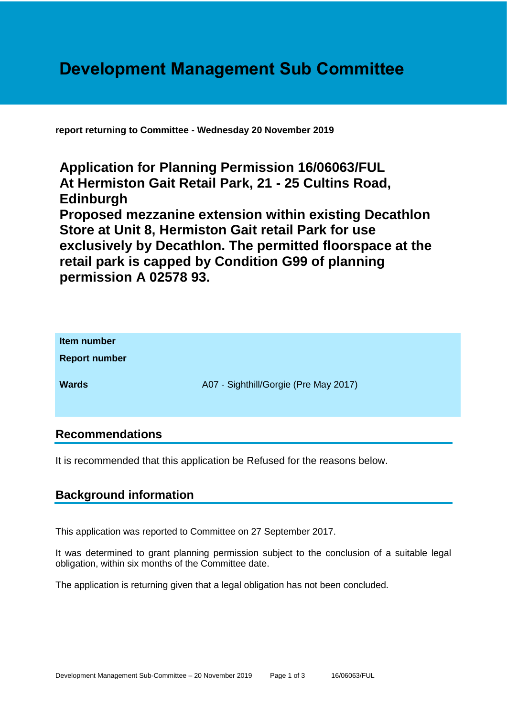# **Development Management Sub Committee**

**report returning to Committee - Wednesday 20 November 2019**

**Application for Planning Permission 16/06063/FUL At Hermiston Gait Retail Park, 21 - 25 Cultins Road, Edinburgh Proposed mezzanine extension within existing Decathlon Store at Unit 8, Hermiston Gait retail Park for use exclusively by Decathlon. The permitted floorspace at the retail park is capped by Condition G99 of planning permission A 02578 93.**

| Item number<br><b>Report number</b> |                                       |
|-------------------------------------|---------------------------------------|
| <b>Wards</b>                        | A07 - Sighthill/Gorgie (Pre May 2017) |

## **Recommendations**

It is recommended that this application be Refused for the reasons below.

# **Background information**

This application was reported to Committee on 27 September 2017.

It was determined to grant planning permission subject to the conclusion of a suitable legal obligation, within six months of the Committee date.

The application is returning given that a legal obligation has not been concluded.